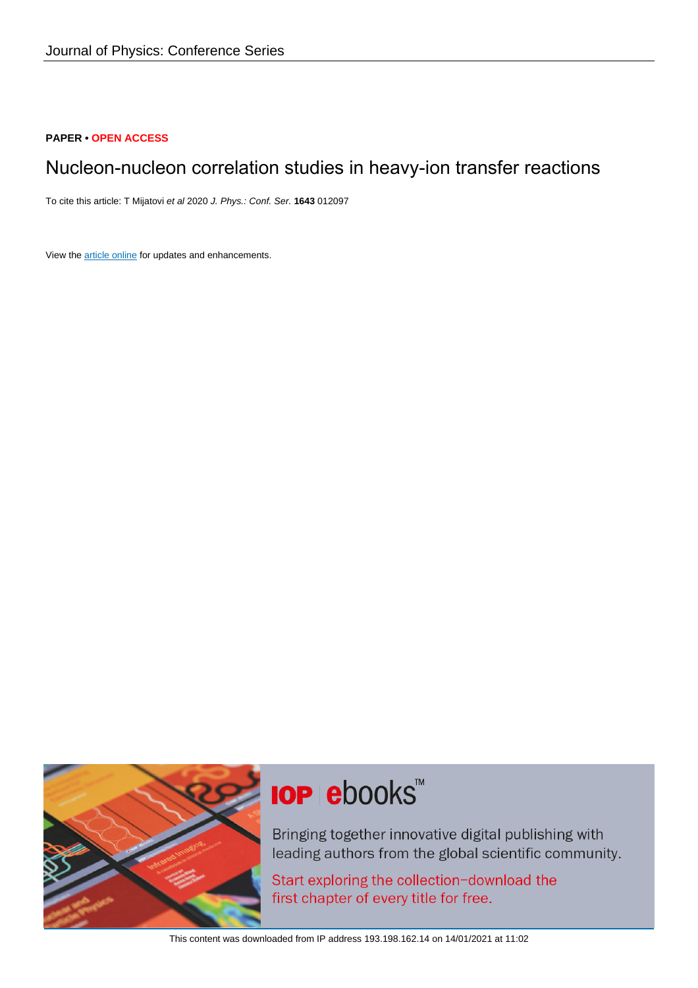# **PAPER • OPEN ACCESS**

# Nucleon-nucleon correlation studies in heavy-ion transfer reactions

To cite this article: T Mijatovi et al 2020 J. Phys.: Conf. Ser. **1643** 012097

View the [article online](https://doi.org/10.1088/1742-6596/1643/1/012097) for updates and enhancements.



# **IOP ebooks**™

Bringing together innovative digital publishing with leading authors from the global scientific community.

Start exploring the collection-download the first chapter of every title for free.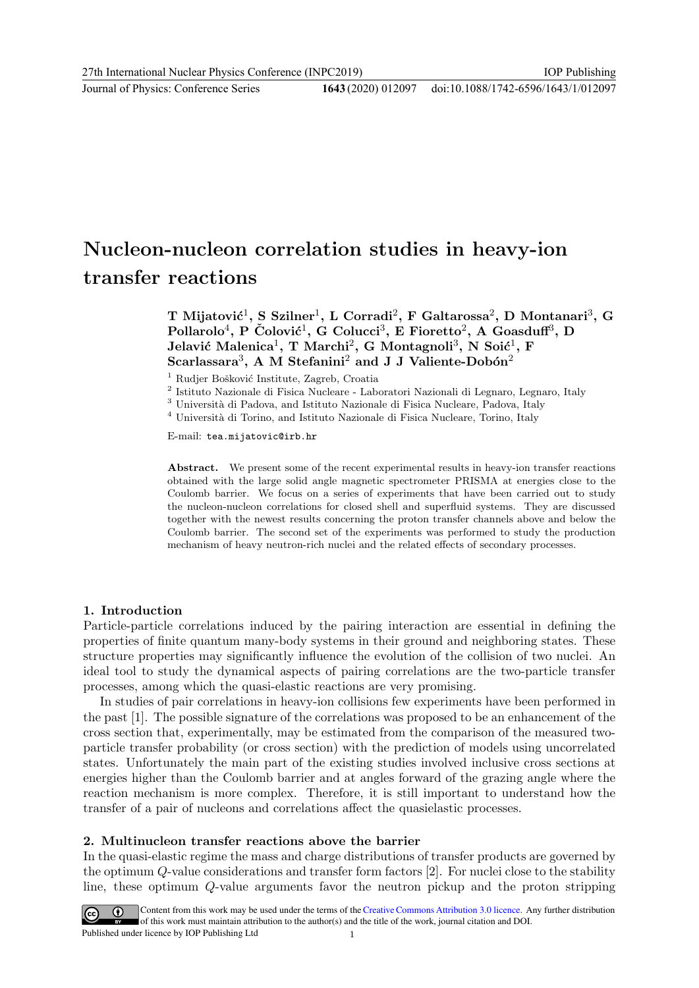Journal of Physics: Conference Series **1643** (2020) 012097

#### doi:10.1088/1742-6596/1643/1/012097

# Nucleon-nucleon correlation studies in heavy-ion transfer reactions

T Mijatović<sup>1</sup>, S Szilner<sup>1</sup>, L Corradi<sup>2</sup>, F Galtarossa<sup>2</sup>, D Montanari<sup>3</sup>, G Pollarolo<sup>4</sup>, P Čolović<sup>1</sup>, G Colucci<sup>3</sup>, E Fioretto<sup>2</sup>, A Goasduff<sup>3</sup>, D Jelavić Malenica<sup>1</sup>, T Marchi<sup>2</sup>, G Montagnoli<sup>3</sup>, N Soić<sup>1</sup>, F Scarlassara<sup>3</sup>, A M Stefanini<sup>2</sup> and J J Valiente-Dobón<sup>2</sup>

<sup>1</sup> Rudjer Bošković Institute, Zagreb, Croatia

2 Istituto Nazionale di Fisica Nucleare - Laboratori Nazionali di Legnaro, Legnaro, Italy

 $^3$ Università di Padova, and Istituto Nazionale di Fisica Nucleare, Padova, Italy

 $^4$ Università di Torino, and Istituto Nazionale di Fisica Nucleare, Torino, Italy

E-mail: tea.mijatovic@irb.hr

Abstract. We present some of the recent experimental results in heavy-ion transfer reactions obtained with the large solid angle magnetic spectrometer PRISMA at energies close to the Coulomb barrier. We focus on a series of experiments that have been carried out to study the nucleon-nucleon correlations for closed shell and superfluid systems. They are discussed together with the newest results concerning the proton transfer channels above and below the Coulomb barrier. The second set of the experiments was performed to study the production mechanism of heavy neutron-rich nuclei and the related effects of secondary processes.

#### 1. Introduction

Particle-particle correlations induced by the pairing interaction are essential in defining the properties of finite quantum many-body systems in their ground and neighboring states. These structure properties may significantly influence the evolution of the collision of two nuclei. An ideal tool to study the dynamical aspects of pairing correlations are the two-particle transfer processes, among which the quasi-elastic reactions are very promising.

In studies of pair correlations in heavy-ion collisions few experiments have been performed in the past [1]. The possible signature of the correlations was proposed to be an enhancement of the cross section that, experimentally, may be estimated from the comparison of the measured twoparticle transfer probability (or cross section) with the prediction of models using uncorrelated states. Unfortunately the main part of the existing studies involved inclusive cross sections at energies higher than the Coulomb barrier and at angles forward of the grazing angle where the reaction mechanism is more complex. Therefore, it is still important to understand how the transfer of a pair of nucleons and correlations affect the quasielastic processes.

#### 2. Multinucleon transfer reactions above the barrier

In the quasi-elastic regime the mass and charge distributions of transfer products are governed by the optimum Q-value considerations and transfer form factors [2]. For nuclei close to the stability line, these optimum Q-value arguments favor the neutron pickup and the proton stripping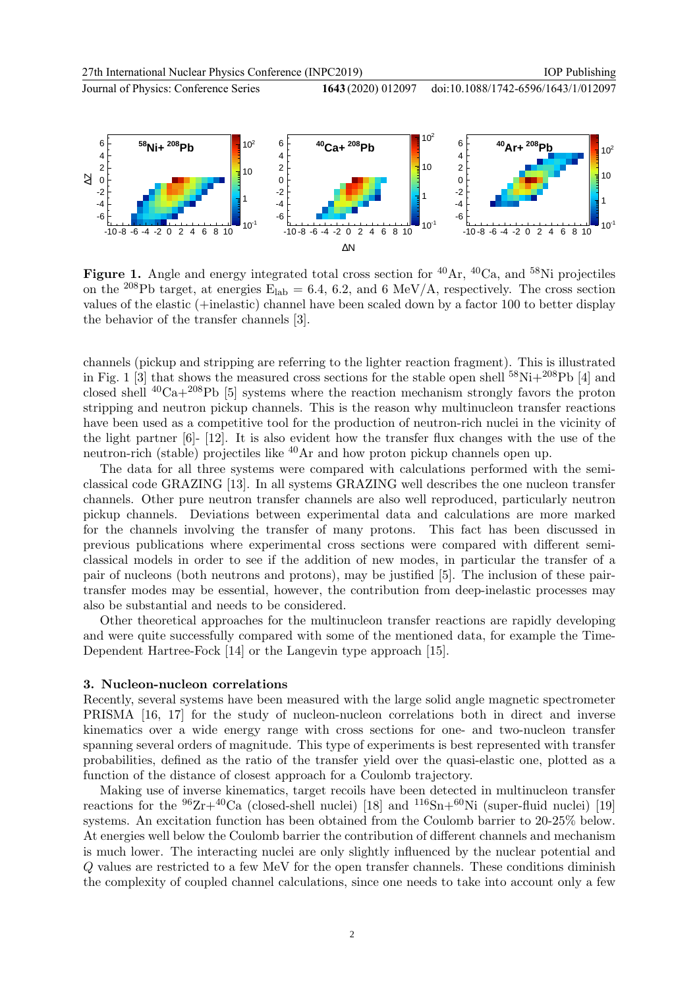

doi:10.1088/1742-6596/1643/1/012097



**Figure 1.** Angle and energy integrated total cross section for  ${}^{40}Ar$ ,  ${}^{40}Ca$ , and  ${}^{58}Ni$  projectiles on the <sup>208</sup>Pb target, at energies  $E_{lab} = 6.4, 6.2,$  and 6 MeV/A, respectively. The cross section values of the elastic (+inelastic) channel have been scaled down by a factor 100 to better display the behavior of the transfer channels [3].

channels (pickup and stripping are referring to the lighter reaction fragment). This is illustrated in Fig. 1 [3] that shows the measured cross sections for the stable open shell  $^{58}$ Ni+ $^{208}$ Pb [4] and closed shell  ${}^{40}Ca+{}^{208}Pb$  [5] systems where the reaction mechanism strongly favors the proton stripping and neutron pickup channels. This is the reason why multinucleon transfer reactions have been used as a competitive tool for the production of neutron-rich nuclei in the vicinity of the light partner [6]- [12]. It is also evident how the transfer flux changes with the use of the neutron-rich (stable) projectiles like <sup>40</sup>Ar and how proton pickup channels open up.

The data for all three systems were compared with calculations performed with the semiclassical code GRAZING [13]. In all systems GRAZING well describes the one nucleon transfer channels. Other pure neutron transfer channels are also well reproduced, particularly neutron pickup channels. Deviations between experimental data and calculations are more marked for the channels involving the transfer of many protons. This fact has been discussed in previous publications where experimental cross sections were compared with different semiclassical models in order to see if the addition of new modes, in particular the transfer of a pair of nucleons (both neutrons and protons), may be justified [5]. The inclusion of these pairtransfer modes may be essential, however, the contribution from deep-inelastic processes may also be substantial and needs to be considered.

Other theoretical approaches for the multinucleon transfer reactions are rapidly developing and were quite successfully compared with some of the mentioned data, for example the Time-Dependent Hartree-Fock [14] or the Langevin type approach [15].

# 3. Nucleon-nucleon correlations

Recently, several systems have been measured with the large solid angle magnetic spectrometer PRISMA [16, 17] for the study of nucleon-nucleon correlations both in direct and inverse kinematics over a wide energy range with cross sections for one- and two-nucleon transfer spanning several orders of magnitude. This type of experiments is best represented with transfer probabilities, defined as the ratio of the transfer yield over the quasi-elastic one, plotted as a function of the distance of closest approach for a Coulomb trajectory.

Making use of inverse kinematics, target recoils have been detected in multinucleon transfer reactions for the  $96Zr+40Ca$  (closed-shell nuclei) [18] and  $116Sn+60Ni$  (super-fluid nuclei) [19] systems. An excitation function has been obtained from the Coulomb barrier to 20-25% below. At energies well below the Coulomb barrier the contribution of different channels and mechanism is much lower. The interacting nuclei are only slightly influenced by the nuclear potential and Q values are restricted to a few MeV for the open transfer channels. These conditions diminish the complexity of coupled channel calculations, since one needs to take into account only a few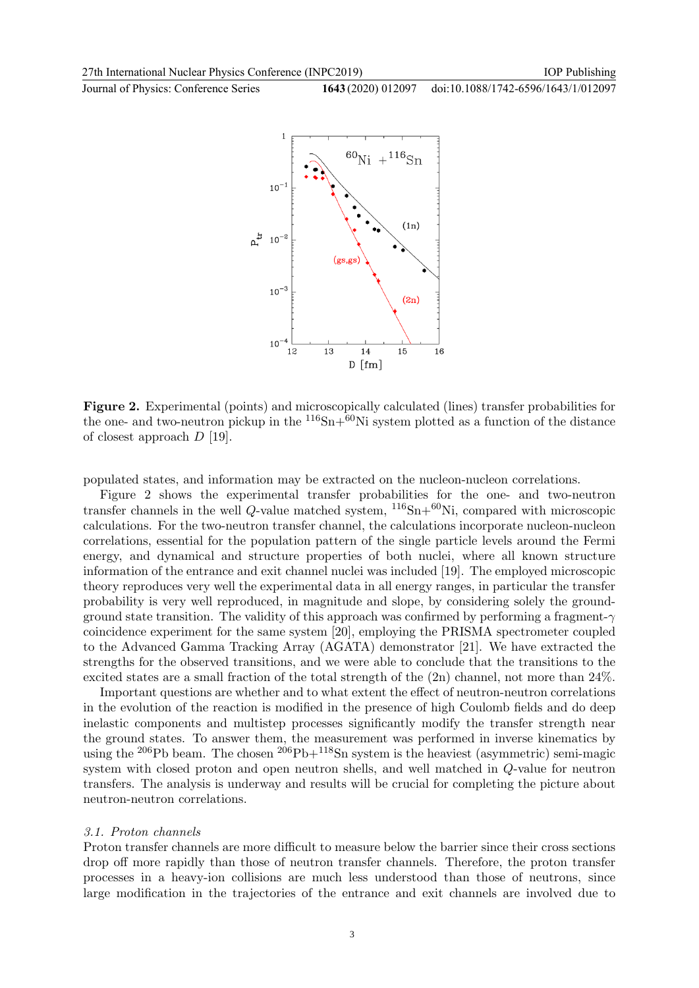Journal of Physics: Conference Series **1643** (2020) 012097

doi:10.1088/1742-6596/1643/1/012097

IOP Publishing



Figure 2. Experimental (points) and microscopically calculated (lines) transfer probabilities for the one- and two-neutron pickup in the  $116Sn+60Ni$  system plotted as a function of the distance of closest approach  $D$  [19].

populated states, and information may be extracted on the nucleon-nucleon correlations.

Figure 2 shows the experimental transfer probabilities for the one- and two-neutron transfer channels in the well Q-value matched system,  $^{116}Sn+^{60}Ni$ , compared with microscopic calculations. For the two-neutron transfer channel, the calculations incorporate nucleon-nucleon correlations, essential for the population pattern of the single particle levels around the Fermi energy, and dynamical and structure properties of both nuclei, where all known structure information of the entrance and exit channel nuclei was included [19]. The employed microscopic theory reproduces very well the experimental data in all energy ranges, in particular the transfer probability is very well reproduced, in magnitude and slope, by considering solely the groundground state transition. The validity of this approach was confirmed by performing a fragment- $\gamma$ coincidence experiment for the same system [20], employing the PRISMA spectrometer coupled to the Advanced Gamma Tracking Array (AGATA) demonstrator [21]. We have extracted the strengths for the observed transitions, and we were able to conclude that the transitions to the excited states are a small fraction of the total strength of the (2n) channel, not more than 24%.

Important questions are whether and to what extent the effect of neutron-neutron correlations in the evolution of the reaction is modified in the presence of high Coulomb fields and do deep inelastic components and multistep processes significantly modify the transfer strength near the ground states. To answer them, the measurement was performed in inverse kinematics by using the <sup>206</sup>Pb beam. The chosen  $^{206}Pb+^{118}Sn$  system is the heaviest (asymmetric) semi-magic system with closed proton and open neutron shells, and well matched in Q-value for neutron transfers. The analysis is underway and results will be crucial for completing the picture about neutron-neutron correlations.

#### 3.1. Proton channels

Proton transfer channels are more difficult to measure below the barrier since their cross sections drop off more rapidly than those of neutron transfer channels. Therefore, the proton transfer processes in a heavy-ion collisions are much less understood than those of neutrons, since large modification in the trajectories of the entrance and exit channels are involved due to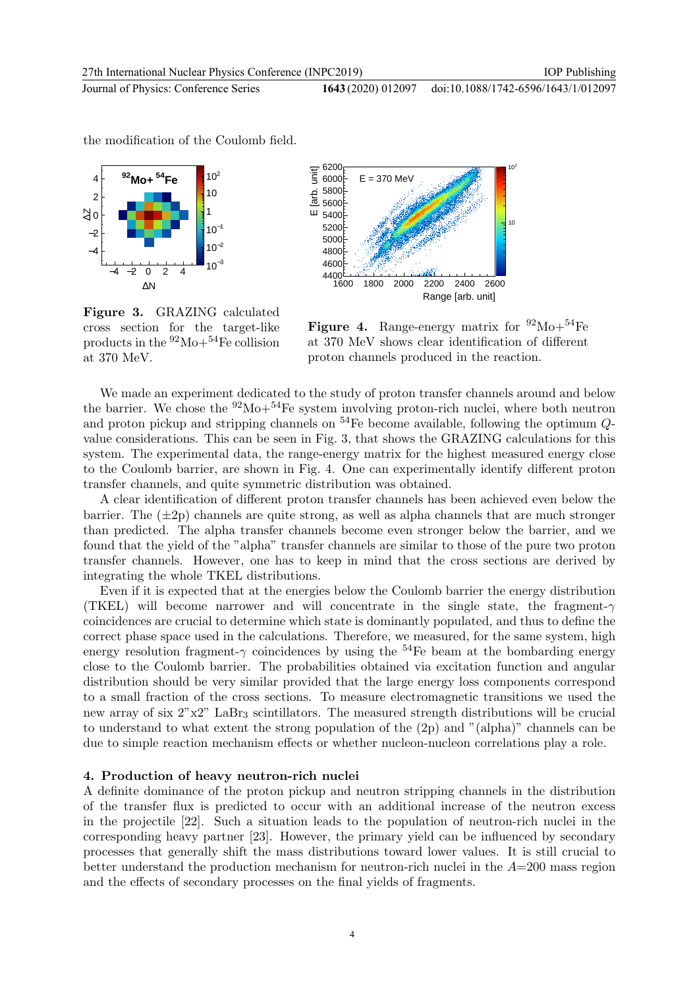the modification of the Coulomb field.

doi:10.1088/1742-6596/1643/1/012097





Figure 3. GRAZING calculated cross section for the target-like products in the  $92\text{Mo}+54\text{Fe}$  collision at 370 MeV.

**Figure 4.** Range-energy matrix for  $92\text{Mo}+54\text{Fe}$ at 370 MeV shows clear identification of different proton channels produced in the reaction.

We made an experiment dedicated to the study of proton transfer channels around and below the barrier. We chose the  $92\text{Mo}+54\text{Fe}$  system involving proton-rich nuclei, where both neutron and proton pickup and stripping channels on  $^{54}$ Fe become available, following the optimum  $Q$ value considerations. This can be seen in Fig. 3, that shows the GRAZING calculations for this system. The experimental data, the range-energy matrix for the highest measured energy close to the Coulomb barrier, are shown in Fig. 4. One can experimentally identify different proton transfer channels, and quite symmetric distribution was obtained.

A clear identification of different proton transfer channels has been achieved even below the barrier. The  $(\pm 2p)$  channels are quite strong, as well as alpha channels that are much stronger than predicted. The alpha transfer channels become even stronger below the barrier, and we found that the yield of the "alpha" transfer channels are similar to those of the pure two proton transfer channels. However, one has to keep in mind that the cross sections are derived by integrating the whole TKEL distributions.

Even if it is expected that at the energies below the Coulomb barrier the energy distribution (TKEL) will become narrower and will concentrate in the single state, the fragment- $\gamma$ coincidences are crucial to determine which state is dominantly populated, and thus to define the correct phase space used in the calculations. Therefore, we measured, for the same system, high energy resolution fragment- $\gamma$  coincidences by using the <sup>54</sup>Fe beam at the bombarding energy close to the Coulomb barrier. The probabilities obtained via excitation function and angular distribution should be very similar provided that the large energy loss components correspond to a small fraction of the cross sections. To measure electromagnetic transitions we used the new array of six  $2"x2"$  LaBr<sub>3</sub> scintillators. The measured strength distributions will be crucial to understand to what extent the strong population of the (2p) and "(alpha)" channels can be due to simple reaction mechanism effects or whether nucleon-nucleon correlations play a role.

## 4. Production of heavy neutron-rich nuclei

A definite dominance of the proton pickup and neutron stripping channels in the distribution of the transfer flux is predicted to occur with an additional increase of the neutron excess in the projectile [22]. Such a situation leads to the population of neutron-rich nuclei in the corresponding heavy partner [23]. However, the primary yield can be influenced by secondary processes that generally shift the mass distributions toward lower values. It is still crucial to better understand the production mechanism for neutron-rich nuclei in the  $A=200$  mass region and the effects of secondary processes on the final yields of fragments.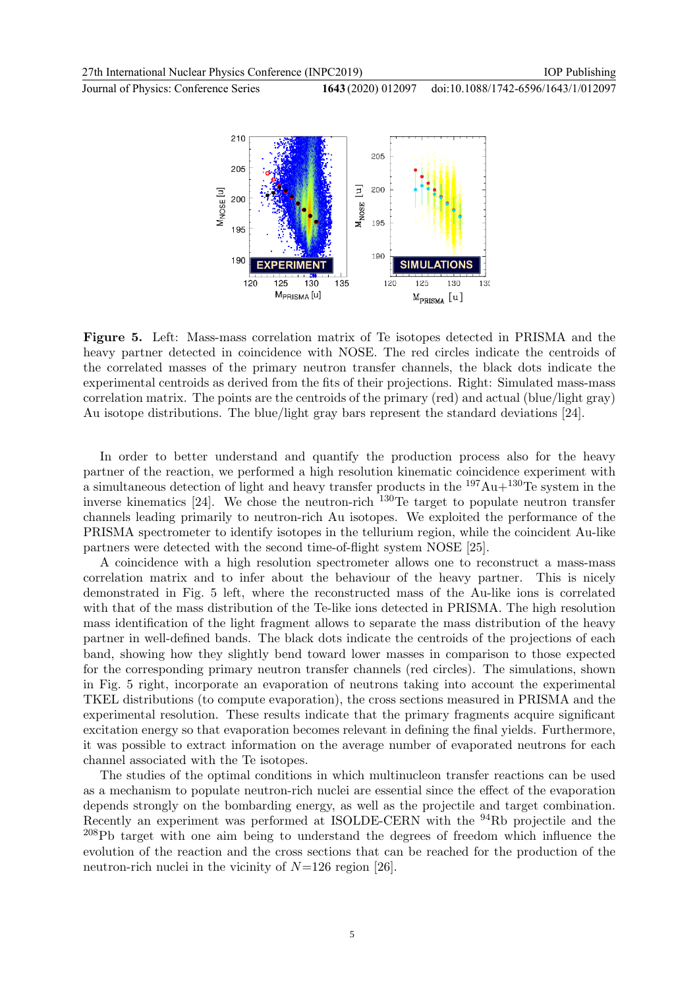IOP Publishing

Journal of Physics: Conference Series **1643** (2020) 012097

doi:10.1088/1742-6596/1643/1/012097



Figure 5. Left: Mass-mass correlation matrix of Te isotopes detected in PRISMA and the heavy partner detected in coincidence with NOSE. The red circles indicate the centroids of the correlated masses of the primary neutron transfer channels, the black dots indicate the experimental centroids as derived from the fits of their projections. Right: Simulated mass-mass correlation matrix. The points are the centroids of the primary (red) and actual (blue/light gray) Au isotope distributions. The blue/light gray bars represent the standard deviations [24].

In order to better understand and quantify the production process also for the heavy partner of the reaction, we performed a high resolution kinematic coincidence experiment with a simultaneous detection of light and heavy transfer products in the  $197Au+130Te$  system in the inverse kinematics [24]. We chose the neutron-rich <sup>130</sup>Te target to populate neutron transfer channels leading primarily to neutron-rich Au isotopes. We exploited the performance of the PRISMA spectrometer to identify isotopes in the tellurium region, while the coincident Au-like partners were detected with the second time-of-flight system NOSE [25].

A coincidence with a high resolution spectrometer allows one to reconstruct a mass-mass correlation matrix and to infer about the behaviour of the heavy partner. This is nicely demonstrated in Fig. 5 left, where the reconstructed mass of the Au-like ions is correlated with that of the mass distribution of the Te-like ions detected in PRISMA. The high resolution mass identification of the light fragment allows to separate the mass distribution of the heavy partner in well-defined bands. The black dots indicate the centroids of the projections of each band, showing how they slightly bend toward lower masses in comparison to those expected for the corresponding primary neutron transfer channels (red circles). The simulations, shown in Fig. 5 right, incorporate an evaporation of neutrons taking into account the experimental TKEL distributions (to compute evaporation), the cross sections measured in PRISMA and the experimental resolution. These results indicate that the primary fragments acquire significant excitation energy so that evaporation becomes relevant in defining the final yields. Furthermore, it was possible to extract information on the average number of evaporated neutrons for each channel associated with the Te isotopes.

The studies of the optimal conditions in which multinucleon transfer reactions can be used as a mechanism to populate neutron-rich nuclei are essential since the effect of the evaporation depends strongly on the bombarding energy, as well as the projectile and target combination. Recently an experiment was performed at ISOLDE-CERN with the <sup>94</sup>Rb projectile and the <sup>208</sup>Pb target with one aim being to understand the degrees of freedom which influence the evolution of the reaction and the cross sections that can be reached for the production of the neutron-rich nuclei in the vicinity of  $N=126$  region [26].